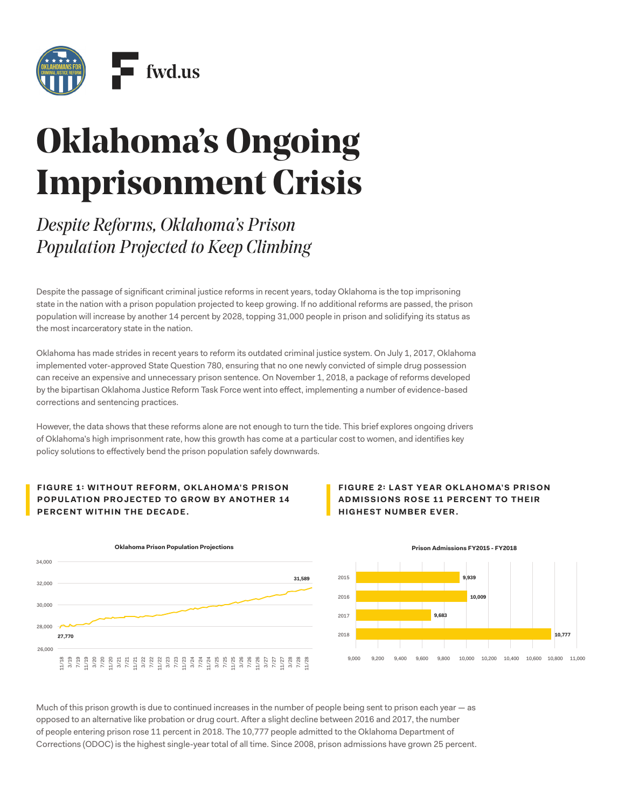

# **Oklahoma's Ongoing Imprisonment Crisis**

*Despite Reforms, Oklahoma's Prison Population Projected to Keep Climbing*

Despite the passage of signifcant criminal justice reforms in recent years, today Oklahoma is the top imprisoning state in the nation with a prison population projected to keep growing. If no additional reforms are passed, the prison population will increase by another 14 percent by 2028, topping 31,000 people in prison and solidifying its status as the most incarceratory state in the nation.

Oklahoma has made strides in recent years to reform its outdated criminal justice system. On July 1, 2017, Oklahoma implemented voter-approved State Question 780, ensuring that no one newly convicted of simple drug possession can receive an expensive and unnecessary prison sentence. On November 1, 2018, a package of reforms developed by the bipartisan Oklahoma Justice Reform Task Force went into efect, implementing a number of evidence-based corrections and sentencing practices.

However, the data shows that these reforms alone are not enough to turn the tide. This brief explores ongoing drivers of Oklahoma's high imprisonment rate, how this growth has come at a particular cost to women, and identifes key policy solutions to efectively bend the prison population safely downwards.

## **FIGURE 1: WITHOUT REFORM, OKLAHOMA'S PRISON POPULATION PROJECTED TO GROW BY ANOTHER 14 PERCENT WITHIN THE DECADE.**



**FIGURE 2: LAST YEAR OKLAHOMA'S PRISON ADMISSIONS ROSE 11 PERCENT TO THEIR HIGHEST NUMBER EVER.** 



**Prison Admissions FY2015 - FY2018**

Much of this prison growth is due to continued increases in the number of people being sent to prison each year  $-$  as opposed to an alternative like probation or drug court. Afer a slight decline between 2016 and 2017, the number of people entering prison rose 11 percent in 2018. The 10,777 people admitted to the Oklahoma Department of Corrections (ODOC) is the highest single-year total of all time. Since 2008, prison admissions have grown 25 percent.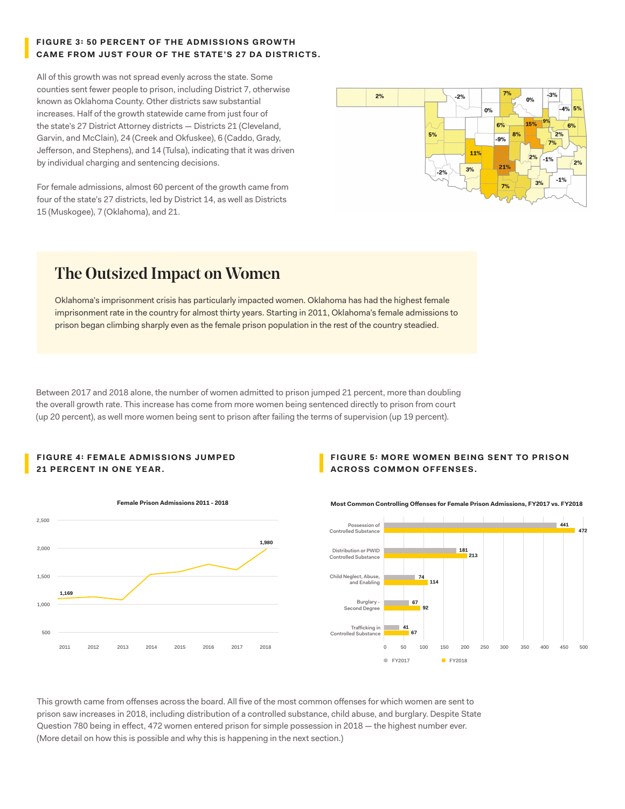## **FIGURE 3: 50 PERCENT OF THE ADMISSIONS G ROW TH CAME FROM JUST FOUR OF THE STATE'S 27 DA DISTRICTS.**

All of this growth was not spread evenly across the state. Some counties sent fewer people to prison, including District 7, otherwise known as Oklahoma County. Other districts saw substantial increases. Half of the growth statewide came from just four of the state's 27 District Attorney districts — Districts 21 (Cleveland, Garvin, and McClain), 24 (Creek and Okfuskee), 6 (Caddo, Grady, Jeferson, and Stephens), and 14 (Tulsa), indicating that it was driven by individual charging and sentencing decisions.

For female admissions, almost 60 percent of the growth came from four of the state's 27 districts, led by District 14, as well as Districts 15 (Muskogee), 7 (Oklahoma), and 21.



# The Outsized Impact on Women

Oklahoma's imprisonment crisis has particularly impacted women. Oklahoma has had the highest female imprisonment rate in the country for almost thirty years. Starting in 2011, Oklahoma's female admissions to prison began climbing sharply even as the female prison population in the rest of the country steadied.

Between 2017 and 2018 alone, the number of women admitted to prison jumped 21 percent, more than doubling the overall growth rate. This increase has come from more women being sentenced directly to prison from court (up 20 percent), as well more women being sent to prison afer failing the terms of supervision (up 19 percent).

### **FIGURE 4: FEMALE ADMISSIONS JUMPED 21 PERCENT IN ONE YEAR.**

### **FIGURE 5: MORE WOMEN BEING SENT TO PRISON ACROSS COMMON OFFENSES.**



**Most Common Controlling Ofenses for Female Prison Admissions, FY2017 vs. FY2018**



This growth came from offenses across the board. All five of the most common offenses for which women are sent to prison saw increases in 2018, including distribution of a controlled substance, child abuse, and burglary. Despite State Question 780 being in efect, 472 women entered prison for simple possession in 2018 — the highest number ever. (More detail on how this is possible and why this is happening in the next section.)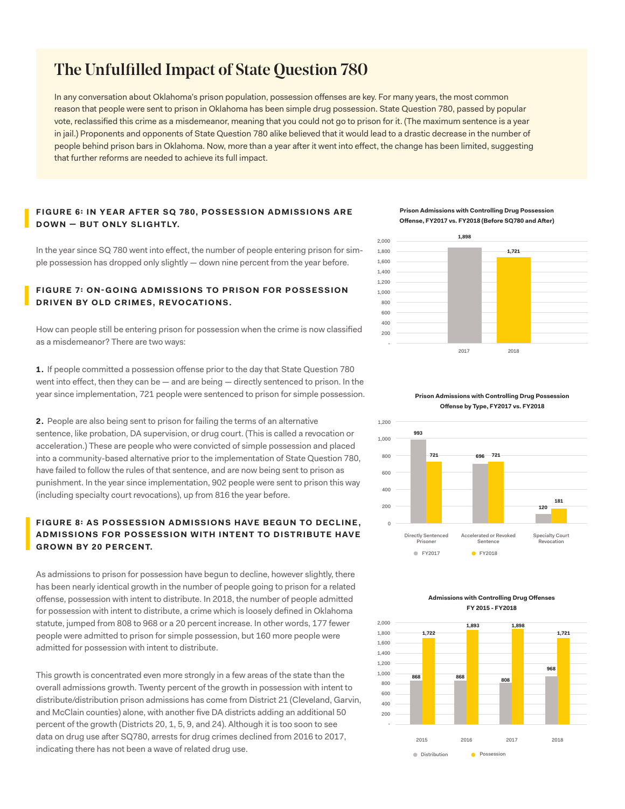## The Unfulfilled Impact of State Question 780

In any conversation about Oklahoma's prison population, possession ofenses are key. For many years, the most common reason that people were sent to prison in Oklahoma has been simple drug possession. State Question 780, passed by popular vote, reclassifed this crime as a misdemeanor, meaning that you could not go to prison for it. (The maximum sentence is a year in jail.) Proponents and opponents of State Question 780 alike believed that it would lead to a drastic decrease in the number of people behind prison bars in Oklahoma. Now, more than a year afer it went into efect, the change has been limited, suggesting that further reforms are needed to achieve its full impact.

#### **FIGURE 6: IN YE AR AFTER SQ 780, POSSESSION ADMISSIONS ARE DOWN - BUT ONLY SLIGHTLY.**

In the year since SQ 780 went into efect, the number of people entering prison for simple possession has dropped only slightly — down nine percent from the year before.

### **FIGURE 7: ON-GOING ADMISSIONS TO PRISON FOR POSSESSION DRIVEN BY OLD CRIMES, REVOCATIONS.**

How can people still be entering prison for possession when the crime is now classifed as a misdemeanor? There are two ways:

**1.** If people committed a possession ofense prior to the day that State Question 780 went into effect, then they can be — and are being — directly sentenced to prison. In the year since implementation, 721 people were sentenced to prison for simple possession.

**2.** People are also being sent to prison for failing the terms of an alternative sentence, like probation, DA supervision, or drug court. (This is called a revocation or acceleration.) These are people who were convicted of simple possession and placed into a community-based alternative prior to the implementation of State Question 780, have failed to follow the rules of that sentence, and are now being sent to prison as punishment. In the year since implementation, 902 people were sent to prison this way (including specialty court revocations), up from 816 the year before.

## **FIGURE 8: AS POSSESSION ADMISSIONS HAVE BEGUN TO DECLINE. ADMISSIONS FOR POSSESSION WITH INTENT TO DISTRIBUTE HAVE GROWN BY 20 PERCENT.**

As admissions to prison for possession have begun to decline, however slightly, there has been nearly identical growth in the number of people going to prison for a related ofense, possession with intent to distribute. In 2018, the number of people admitted for possession with intent to distribute, a crime which is loosely defned in Oklahoma statute, jumped from 808 to 968 or a 20 percent increase. In other words, 177 fewer people were admitted to prison for simple possession, but 160 more people were admitted for possession with intent to distribute.

This growth is concentrated even more strongly in a few areas of the state than the overall admissions growth. Twenty percent of the growth in possession with intent to distribute/distribution prison admissions has come from District 21 (Cleveland, Garvin, and McClain counties) alone, with another five DA districts adding an additional 50 percent of the growth (Districts 20, 1, 5, 9, and 24). Although it is too soon to see data on drug use after SQ780, arrests for drug crimes declined from 2016 to 2017, indicating there has not been a wave of related drug use.

**Prison Admissions with Controlling Drug Possession Ofense, FY2017 vs. FY2018 (Before SQ780 and Afer)**



**Prison Admissions with Controlling Drug Possession Ofense by Type, FY2017 vs. FY2018**



**Admissions with Controlling Drug Ofenses FY 2015 - FY2018**